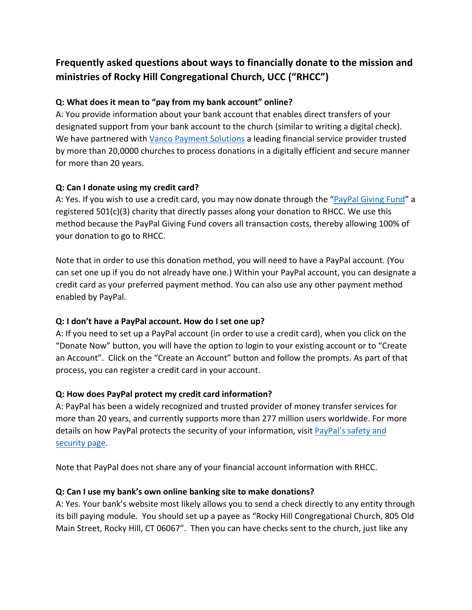## **Frequently asked questions about ways to financially donate to the mission and ministries of Rocky Hill Congregational Church, UCC ("RHCC")**

## **Q: What does it mean to "pay from my bank account" online?**

A: You provide information about your bank account that enables direct transfers of your designated support from your bank account to the church (similar to writing a digital check). We have partnered with Vanco Payment Solutions a leading financial service provider trusted by more than 20,0000 churches to process donations in a digitally efficient and secure manner for more than 20 years.

### **Q: Can I donate using my credit card?**

A: Yes. If you wish to use a credit card, you may now donate through the "PayPal Giving Fund" a registered 501(c)(3) charity that directly passes along your donation to RHCC. We use this method because the PayPal Giving Fund covers all transaction costs, thereby allowing 100% of your donation to go to RHCC.

Note that in order to use this donation method, you will need to have a PayPal account. (You can set one up if you do not already have one.) Within your PayPal account, you can designate a credit card as your preferred payment method. You can also use any other payment method enabled by PayPal.

#### **Q: I don't have a PayPal account. How do I set one up?**

A: If you need to set up a PayPal account (in order to use a credit card), when you click on the "Donate Now" button, you will have the option to login to your existing account or to "Create an Account". Click on the "Create an Account" button and follow the prompts. As part of that process, you can register a credit card in your account.

## **Q: How does PayPal protect my credit card information?**

A: PayPal has been a widely recognized and trusted provider of money transfer services for more than 20 years, and currently supports more than 277 million users worldwide. For more details on how PayPal protects the security of your information, visit PayPal's safety and security page.

Note that PayPal does not share any of your financial account information with RHCC.

#### **Q: Can I use my bank's own online banking site to make donations?**

A: Yes. Your bank's website most likely allows you to send a check directly to any entity through its bill paying module. You should set up a payee as "Rocky Hill Congregational Church, 805 Old Main Street, Rocky Hill, CT 06067". Then you can have checks sent to the church, just like any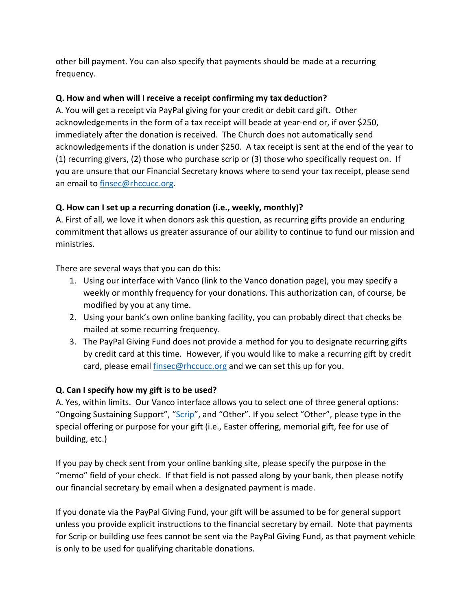other bill payment. You can also specify that payments should be made at a recurring frequency.

## **Q. How and when will I receive a receipt confirming my tax deduction?**

A. You will get a receipt via PayPal giving for your credit or debit card gift. Other acknowledgements in the form of a tax receipt will beade at year-end or, if over \$250, immediately after the donation is received. The Church does not automatically send acknowledgements if the donation is under \$250. A tax receipt is sent at the end of the year to (1) recurring givers, (2) those who purchase scrip or (3) those who specifically request on. If you are unsure that our Financial Secretary knows where to send your tax receipt, please send an email to finsec@rhccucc.org.

## **Q. How can I set up a recurring donation (i.e., weekly, monthly)?**

A. First of all, we love it when donors ask this question, as recurring gifts provide an enduring commitment that allows us greater assurance of our ability to continue to fund our mission and ministries.

There are several ways that you can do this:

- 1. Using our interface with Vanco (link to the Vanco donation page), you may specify a weekly or monthly frequency for your donations. This authorization can, of course, be modified by you at any time.
- 2. Using your bank's own online banking facility, you can probably direct that checks be mailed at some recurring frequency.
- 3. The PayPal Giving Fund does not provide a method for you to designate recurring gifts by credit card at this time. However, if you would like to make a recurring gift by credit card, please email *finsec@rhccucc.org* and we can set this up for you.

#### **Q. Can I specify how my gift is to be used?**

A. Yes, within limits. Our Vanco interface allows you to select one of three general options: "Ongoing Sustaining Support", "Scrip", and "Other". If you select "Other", please type in the special offering or purpose for your gift (i.e., Easter offering, memorial gift, fee for use of building, etc.)

If you pay by check sent from your online banking site, please specify the purpose in the "memo" field of your check. If that field is not passed along by your bank, then please notify our financial secretary by email when a designated payment is made.

If you donate via the PayPal Giving Fund, your gift will be assumed to be for general support unless you provide explicit instructions to the financial secretary by email. Note that payments for Scrip or building use fees cannot be sent via the PayPal Giving Fund, as that payment vehicle is only to be used for qualifying charitable donations.